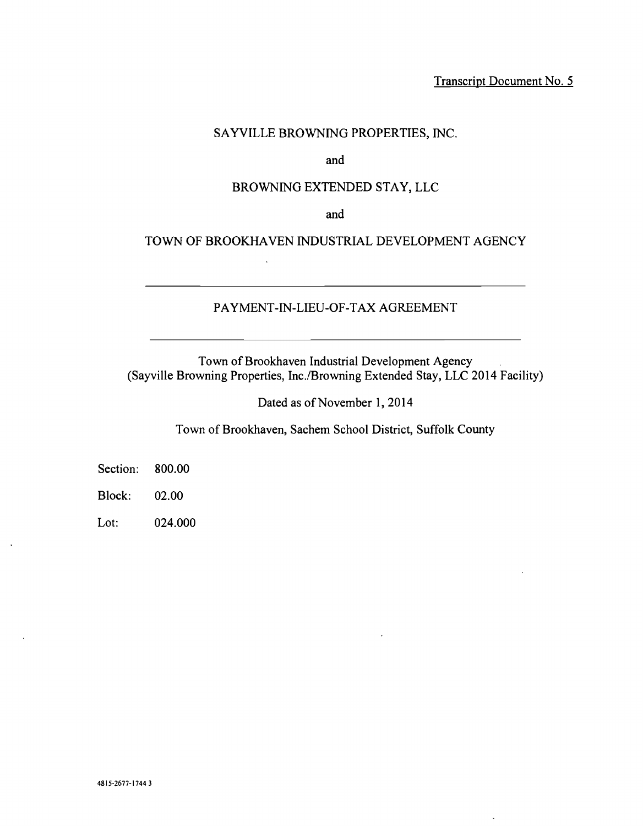Transcript Document No. 5

 $\ddot{\phantom{0}}$ 

## SAYVILLE BROWNING PROPERTIES, INC.

and

## BROWNING EXTENDED STAY, LLC

and

TOWN OF BROOKHAVEN INDUSTRIAL DEVELOPMENT AGENCY

## PAYMENT-IN-LIEU-OF-TAX AGREEMENT

Town of Brookhaven Industrial Development Agency (Sayville Browning Properties, Inc. /Browning Extended Stay, LLC 2014 Facility)

Dated as of November 1, 2014

Town of Brookhaven, Sachem School District, Suffolk County

Section: 800.00

Block: 02.00

Lot: 024.000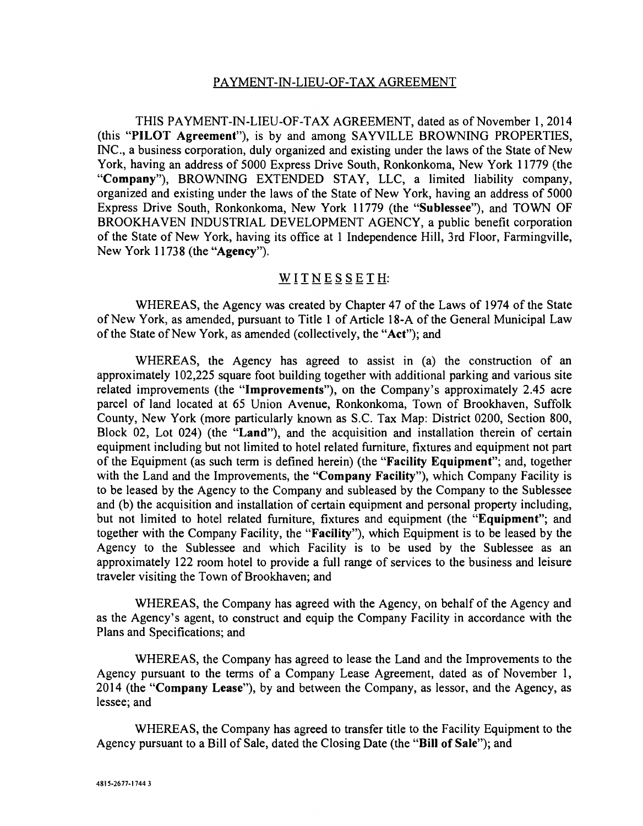### PAYMENT-IN-LIEU-OF-TAX AGREEMENT

THIS PAYMENT-IN-LIEU-OF-TAX AGREEMENT, dated as of November 1, 2014 (this "PILOT Agreement"), is by and among SAYVILLE BROWNING PROPERTIES, INC., a business corporation, duly organized and existing under the laws of the State of New York, having an address of 5000 Express Drive South, Ronkonkoma, New York 11779 (the "Company"), BROWNING EXTENDED STAY, LLC, a limited liability company, organized and existing under the laws of the State of New York, having an address of 5000 Express Drive South, Ronkonkoma, New York 11779 (the "Sublessee"), and TOWN OF BROOKHAVEN INDUSTRIAL DEVELOPMENT AGENCY, a public benefit corporation of the State of New York, having its office at 1 Independence Hill, 3rd Floor, Farmingville, New York 11738 (the "Agency").

### WITNESSETH:

WHEREAS, the Agency was created by Chapter 47 of the Laws of 1974 of the State of New York, as amended, pursuant to Title 1 of Article 18 -A of the General Municipal Law of the State of New York, as amended (collectively, the "Act"); and

WHEREAS, the Agency has agreed to assist in (a) the construction of an approximately 102,225 square foot building together with additional parking and various site related improvements (the "Improvements"), on the Company's approximately 2.45 acre parcel of land located at 65 Union Avenue, Ronkonkoma, Town of Brookhaven, Suffolk County, New York (more particularly known as S.C. Tax Map: District 0200, Section 800, Block 02, Lot 024) (the "Land"), and the acquisition and installation therein of certain equipment including but not limited to hotel related furniture, fixtures and equipment not part of the Equipment (as such term is defined herein) (the "Facility Equipment"; and, together with the Land and the Improvements, the "Company Facility"), which Company Facility is to be leased by the Agency to the Company and subleased by the Company to the Sublessee and (b) the acquisition and installation of certain equipment and personal property including, but not limited to hotel related furniture, fixtures and equipment (the "Equipment"; and together with the Company Facility, the "Facility"), which Equipment is to be leased by the Agency to the Sublessee and which Facility is to be used by the Sublessee as an approximately 122 room hotel to provide a full range of services to the business and leisure traveler visiting the Town of Brookhaven; and

WHEREAS, the Company has agreed with the Agency, on behalf of the Agency and as the Agency's agent, to construct and equip the Company Facility in accordance with the Plans and Specifications; and

WHEREAS, the Company has agreed to lease the Land and the Improvements to the Agency pursuant to the terms of a Company Lease Agreement, dated as of November 1, 2014 (the "Company Lease"), by and between the Company, as lessor, and the Agency, as lessee; and

WHEREAS, the Company has agreed to transfer title to the Facility Equipment to the Agency pursuant to a Bill of Sale, dated the Closing Date (the "Bill of Sale"); and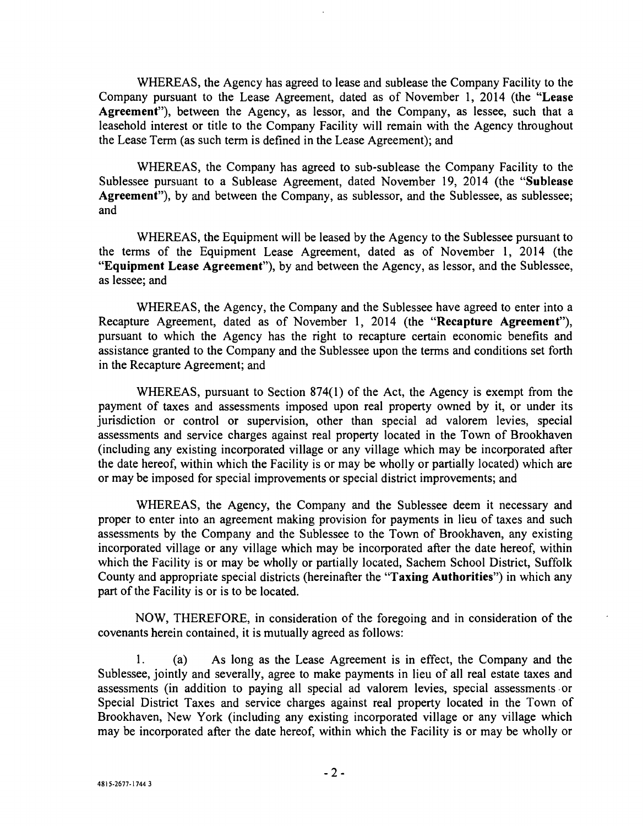WHEREAS, the Agency has agreed to lease and sublease the Company Facility to the Company pursuant to the Lease Agreement, dated as of November 1, 2014 (the "Lease Agreement"), between the Agency, as lessor, and the Company, as lessee, such that a leasehold interest or title to the Company Facility will remain with the Agency throughout the Lease Term (as such term is defined in the Lease Agreement); and

WHEREAS, the Company has agreed to sub -sublease the Company Facility to the Sublessee pursuant to a Sublease Agreement, dated November 19, 2014 (the "Sublease Agreement"), by and between the Company, as sublessor, and the Sublessee, as sublessee; and

WHEREAS, the Equipment will be leased by the Agency to the Sublessee pursuant to the terms of the Equipment Lease Agreement, dated as of November 1, 2014 (the "Equipment Lease Agreement"), by and between the Agency, as lessor, and the Sublessee, as lessee; and

WHEREAS, the Agency, the Company and the Sublessee have agreed to enter into a Recapture Agreement, dated as of November 1, 2014 (the "Recapture Agreement"), pursuant to which the Agency has the right to recapture certain economic benefits and assistance granted to the Company and the Sublessee upon the terms and conditions set forth in the Recapture Agreement; and

WHEREAS, pursuant to Section 874(1) of the Act, the Agency is exempt from the payment of taxes and assessments imposed upon real property owned by it, or under its jurisdiction or control or supervision, other than special ad valorem levies, special assessments and service charges against real property located in the Town of Brookhaven (including any existing incorporated village or any village which may be incorporated after the date hereof, within which the Facility is or may be wholly or partially located) which are or may be imposed for special improvements or special district improvements; and

WHEREAS, the Agency, the Company and the Sublessee deem it necessary and proper to enter into an agreement making provision for payments in lieu of taxes and such assessments by the Company and the Sublessee to the Town of Brookhaven, any existing incorporated village or any village which may be incorporated after the date hereof, within which the Facility is or may be wholly or partially located, Sachem School District, Suffolk County and appropriate special districts (hereinafter the "Taxing Authorities") in which any part of the Facility is or is to be located.

NOW, THEREFORE, in consideration of the foregoing and in consideration of the covenants herein contained, it is mutually agreed as follows:

1. (a) As long as the Lease Agreement is in effect, the Company and the Sublessee, jointly and severally, agree to make payments in lieu of all real estate taxes and assessments (in addition to paying all special ad valorem levies, special assessments or Special District Taxes and service charges against real property located in the Town of Brookhaven, New York (including any existing incorporated village or any village which may be incorporated after the date hereof, within which the Facility is or may be wholly or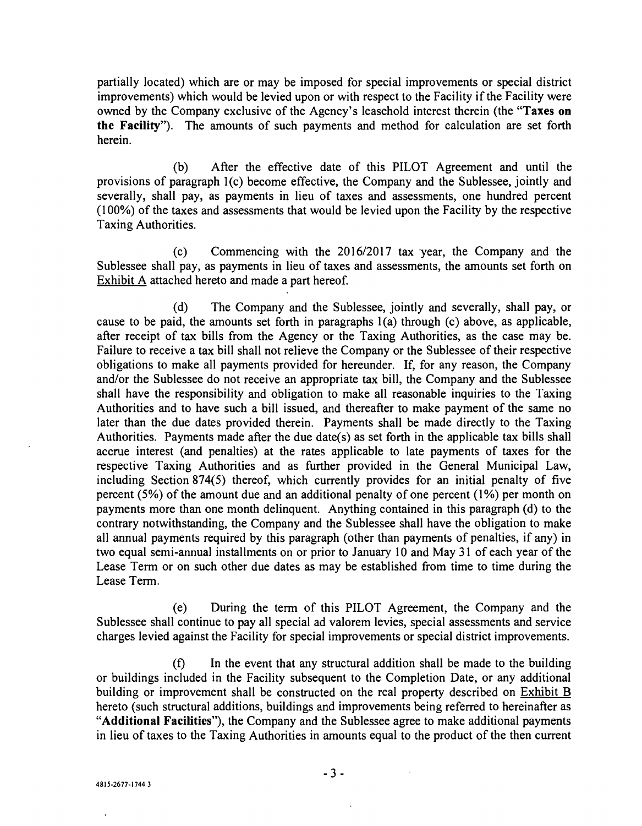partially located) which are or may be imposed for special improvements or special district improvements) which would be levied upon or with respect to the Facility if the Facility were owned by the Company exclusive of the Agency's leasehold interest therein (the "Taxes on the Facility"). The amounts of such payments and method for calculation are set forth herein.

(b) After the effective date of this PILOT Agreement and until the provisions of paragraph 1(c) become effective, the Company and the Sublessee, jointly and severally, shall pay, as payments in lieu of taxes and assessments, one hundred percent (100 %) of the taxes and assessments that would be levied upon the Facility by the respective Taxing Authorities.

(c) Commencing with the 2016/2017 tax year, the Company and the Sublessee shall pay, as payments in lieu of taxes and assessments, the amounts set forth on Exhibit A attached hereto and made a part hereof.

(d) The Company and the Sublessee, jointly and severally, shall pay, or cause to be paid, the amounts set forth in paragraphs 1(a) through (c) above, as applicable, after receipt of tax bills from the Agency or the Taxing Authorities, as the case may be. Failure to receive a tax bill shall not relieve the Company or the Sublessee of their respective obligations to make all payments provided for hereunder. If, for any reason, the Company and/or the Sublessee do not receive an appropriate tax bill, the Company and the Sublessee shall have the responsibility and obligation to make all reasonable inquiries to the Taxing Authorities and to have such a bill issued, and thereafter to make payment of the same no later than the due dates provided therein. Payments shall be made directly to the Taxing Authorities. Payments made after the due date(s) as set forth in the applicable tax bills shall accrue interest (and penalties) at the rates applicable to late payments of taxes for the respective Taxing Authorities and as further provided in the General Municipal Law, including Section 874(5) thereof, which currently provides for an initial penalty of five percent  $(5\%)$  of the amount due and an additional penalty of one percent  $(1\%)$  per month on payments more than one month delinquent. Anything contained in this paragraph (d) to the contrary notwithstanding, the Company and the Sublessee shall have the obligation to make all annual payments required by this paragraph (other than payments of penalties, if any) in two equal semi-annual installments on or prior to January 10 and May 31 of each year of the Lease Term or on such other due dates as may be established from time to time during the Lease Term.

(e) During the term of this PILOT Agreement, the Company and the Sublessee shall continue to pay all special ad valorem levies, special assessments and service charges levied against the Facility for special improvements or special district improvements.

(f) In the event that any structural addition shall be made to the building or buildings included in the Facility subsequent to the Completion Date, or any additional building or improvement shall be constructed on the real property described on Exhibit B hereto (such structural additions, buildings and improvements being referred to hereinafter as "Additional Facilities"), the Company and the Sublessee agree to make additional payments in lieu of taxes to the Taxing Authorities in amounts equal to the product of the then current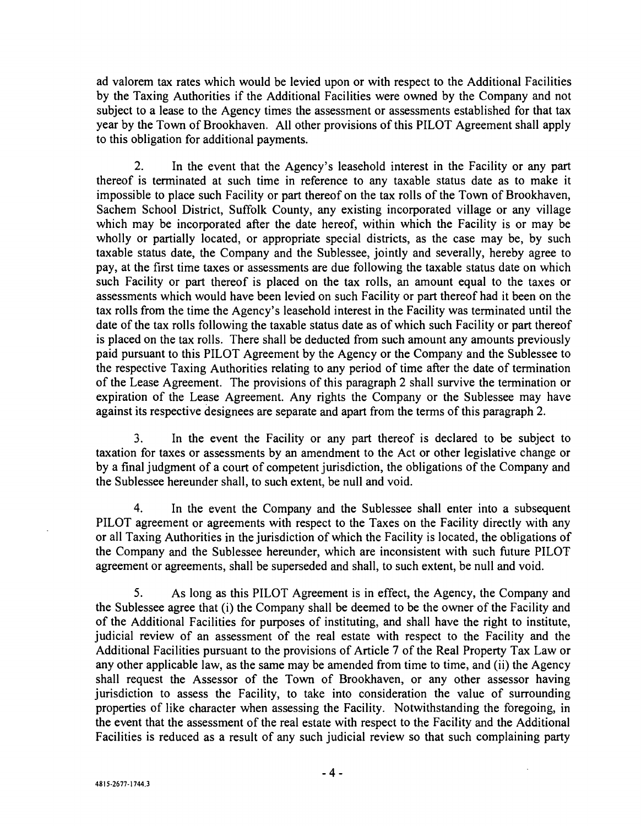ad valorem tax rates which would be levied upon or with respect to the Additional Facilities by the Taxing Authorities if the Additional Facilities were owned by the Company and not subject to a lease to the Agency times the assessment or assessments established for that tax year by the Town of Brookhaven. All other provisions of this PILOT Agreement shall apply to this obligation for additional payments.

2. In the event that the Agency's leasehold interest in the Facility or any part thereof is terminated at such time in reference to any taxable status date as to make it impossible to place such Facility or part thereof on the tax rolls of the Town of Brookhaven, Sachem School District, Suffolk County, any existing incorporated village or any village which may be incorporated after the date hereof, within which the Facility is or may be wholly or partially located, or appropriate special districts, as the case may be, by such taxable status date, the Company and the Sublessee, jointly and severally, hereby agree to pay, at the first time taxes or assessments are due following the taxable status date on which such Facility or part thereof is placed on the tax rolls, an amount equal to the taxes or assessments which would have been levied on such Facility or part thereof had it been on the tax rolls from the time the Agency's leasehold interest in the Facility was terminated until the date of the tax rolls following the taxable status date as of which such Facility or part thereof is placed on the tax rolls. There shall be deducted from such amount any amounts previously paid pursuant to this PILOT Agreement by the Agency or the Company and the Sublessee to the respective Taxing Authorities relating to any period of time after the date of termination of the Lease Agreement. The provisions of this paragraph 2 shall survive the termination or expiration of the Lease Agreement. Any rights the Company or the Sublessee may have against its respective designees are separate and apart from the terms of this paragraph 2.

3. In the event the Facility or any part thereof is declared to be subject to taxation for taxes or assessments by an amendment to the Act or other legislative change or by a final judgment of a court of competent jurisdiction, the obligations of the Company and the Sublessee hereunder shall, to such extent, be null and void.

4. In the event the Company and the Sublessee shall enter into a subsequent PILOT agreement or agreements with respect to the Taxes on the Facility directly with any or all Taxing Authorities in the jurisdiction of which the Facility is located, the obligations of the Company and the Sublessee hereunder, which are inconsistent with such future PILOT agreement or agreements, shall be superseded and shall, to such extent, be null and void.

5. As long as this PILOT Agreement is in effect, the Agency, the Company and the Sublessee agree that (i) the Company shall be deemed to be the owner of the Facility and of the Additional Facilities for purposes of instituting, and shall have the right to institute, judicial review of an assessment of the real estate with respect to the Facility and the Additional Facilities pursuant to the provisions of Article 7 of the Real Property Tax Law or any other applicable law, as the same may be amended from time to time, and (ii) the Agency shall request the Assessor of the Town of Brookhaven, or any other assessor having jurisdiction to assess the Facility, to take into consideration the value of surrounding properties of like character when assessing the Facility. Notwithstanding the foregoing, in the event that the assessment of the real estate with respect to the Facility and the Additional Facilities is reduced as a result of any such judicial review so that such complaining party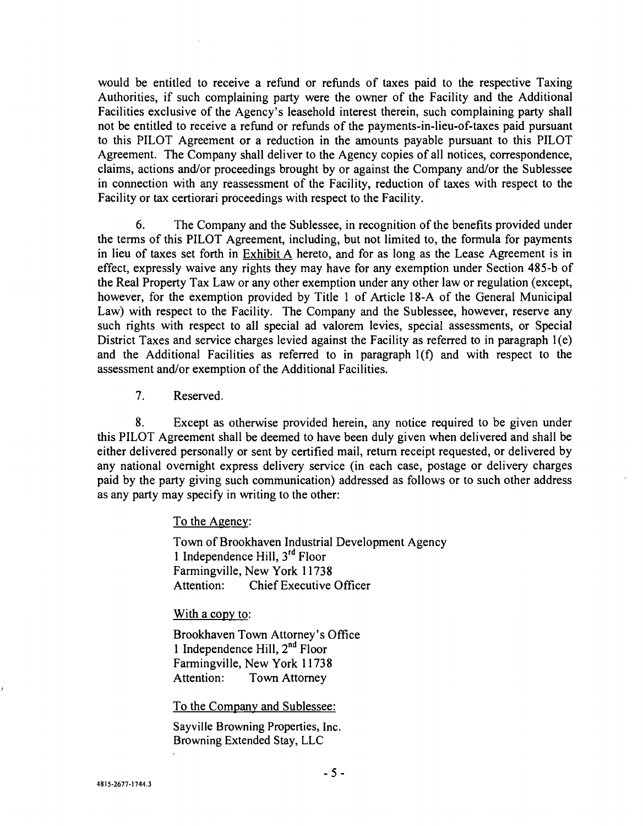would be entitled to receive a refund or refunds of taxes paid to the respective Taxing Authorities, if such complaining party were the owner of the Facility and the Additional Facilities exclusive of the Agency's leasehold interest therein, such complaining party shall not be entitled to receive a refund or refunds of the payments -in- lieu -of -taxes paid pursuant to this PILOT Agreement or a reduction in the amounts payable pursuant to this PILOT Agreement. The Company shall deliver to the Agency copies of all notices, correspondence, claims, actions and/or proceedings brought by or against the Company and/or the Sublessee in connection with any reassessment of the Facility, reduction of taxes with respect to the Facility or tax certiorari proceedings with respect to the Facility.

6. The Company and the Sublessee, in recognition of the benefits provided under the terms of this PILOT Agreement, including, but not limited to, the formula for payments in lieu of taxes set forth in Exhibit A hereto, and for as long as the Lease Agreement is in effect, expressly waive any rights they may have for any exemption under Section 485 -b of the Real Property Tax Law or any other exemption under any other law or regulation (except, however, for the exemption provided by Title 1 of Article 18-A of the General Municipal Law) with respect to the Facility. The Company and the Sublessee, however, reserve any such rights with respect to all special ad valorem levies, special assessments, or Special District Taxes and service charges levied against the Facility as referred to in paragraph 1(e) and the Additional Facilities as referred to in paragraph  $I(f)$  and with respect to the assessment and /or exemption of the Additional Facilities.

7. Reserved.

8. Except as otherwise provided herein, any notice required to be given under this PILOT Agreement shall be deemed to have been duly given when delivered and shall be either delivered personally or sent by certified mail, return receipt requested, or delivered by any national overnight express delivery service (in each case, postage or delivery charges paid by the party giving such communication) addressed as follows or to such other address as any party may specify in writing to the other:

To the Agency:

Town of Brookhaven Industrial Development Agency 1 Independence Hill,  $3<sup>rd</sup>$  Floor Farmingville, New York 11738 Attention: Chief Executive Officer

With a copy to:

Brookhaven Town Attorney's Office 1 Independence Hill,  $2^{nd}$  Floor Farmingville, New York 11738 Attention: Town Attorney

To the Company and Sublessee:

Sayville Browning Properties, Inc. Browning Extended Stay, LLC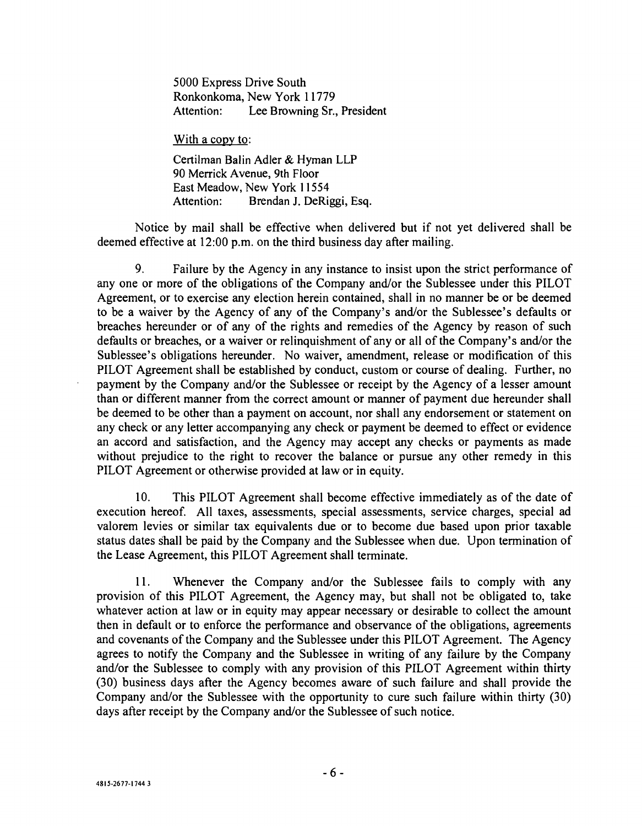5000 Express Drive South Ronkonkoma, New York 11779 Attention: Lee Browning Sr., President

With a copy to:

Certilman Balin Adler & Hyman LLP 90 Merrick Avenue, 9th Floor East Meadow, New York 11554 Attention: Brendan J. DeRiggi, Esq.

Notice by mail shall be effective when delivered but if not yet delivered shall be deemed effective at 12:00 p.m. on the third business day after mailing.

9. Failure by the Agency in any instance to insist upon the strict performance of any one or more of the obligations of the Company and/or the Sublessee under this PILOT Agreement, or to exercise any election herein contained, shall in no manner be or be deemed to be a waiver by the Agency of any of the Company's and/or the Sublessee's defaults or breaches hereunder or of any of the rights and remedies of the Agency by reason of such defaults or breaches, or a waiver or relinquishment of any or all of the Company's and/or the Sublessee's obligations hereunder. No waiver, amendment, release or modification of this PILOT Agreement shall be established by conduct, custom or course of dealing. Further, no payment by the Company and/or the Sublessee or receipt by the Agency of a lesser amount than or different manner from the correct amount or manner of payment due hereunder shall be deemed to be other than a payment on account, nor shall any endorsement or statement on any check or any letter accompanying any check or payment be deemed to effect or evidence an accord and satisfaction, and the Agency may accept any checks or payments as made without prejudice to the right to recover the balance or pursue any other remedy in this PILOT Agreement or otherwise provided at law or in equity.

10. This PILOT Agreement shall become effective immediately as of the date of execution hereof. All taxes, assessments, special assessments, service charges, special ad valorem levies or similar tax equivalents due or to become due based upon prior taxable status dates shall be paid by the Company and the Sublessee when due. Upon termination of the Lease Agreement, this PILOT Agreement shall terminate.

11. Whenever the Company and/or the Sublessee fails to comply with any provision of this PILOT Agreement, the Agency may, but shall not be obligated to, take whatever action at law or in equity may appear necessary or desirable to collect the amount then in default or to enforce the performance and observance of the obligations, agreements and covenants of the Company and the Sublessee under this PILOT Agreement. The Agency agrees to notify the Company and the Sublessee in writing of any failure by the Company and/or the Sublessee to comply with any provision of this PILOT Agreement within thirty (30) business days after the Agency becomes aware of such failure and shall provide the Company and/or the Sublessee with the opportunity to cure such failure within thirty (30) days after receipt by the Company and/or the Sublessee of such notice.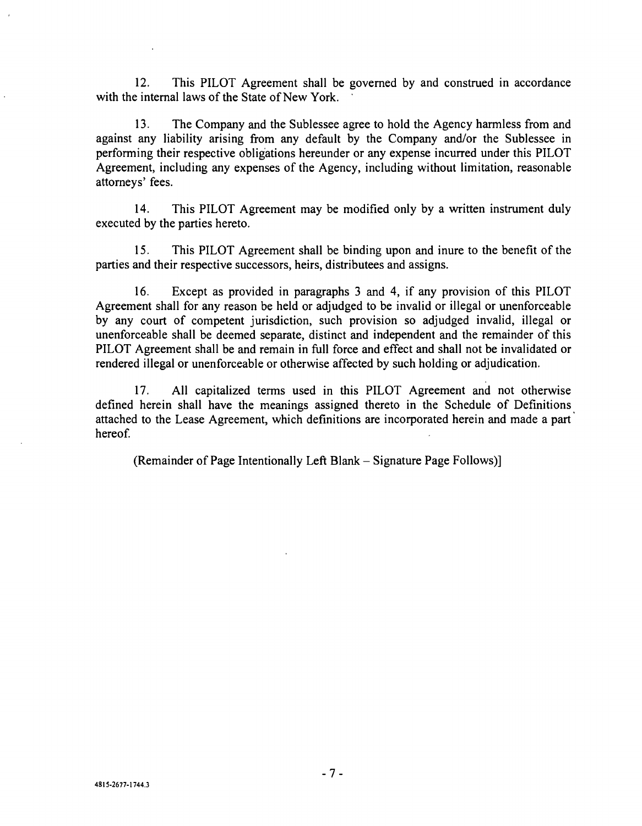12. This PILOT Agreement shall be governed by and construed in accordance with the internal laws of the State of New York.

13. The Company and the Sublessee agree to hold the Agency harmless from and against any liability arising from any default by the Company and/or the Sublessee in performing their respective obligations hereunder or any expense incurred under this PILOT Agreement, including any expenses of the Agency, including without limitation, reasonable attorneys' fees.

14. This PILOT Agreement may be modified only by a written instrument duly executed by the parties hereto.

15. This PILOT Agreement shall be binding upon and inure to the benefit of the parties and their respective successors, heirs, distributees and assigns.

16. Except as provided in paragraphs 3 and 4, if any provision of this PILOT Agreement shall for any reason be held or adjudged to be invalid or illegal or unenforceable by any court of competent jurisdiction, such provision so adjudged invalid, illegal or unenforceable shall be deemed separate, distinct and independent and the remainder of this PILOT Agreement shall be and remain in full force and effect and shall not be invalidated or rendered illegal or unenforceable or otherwise affected by such holding or adjudication.

17. All capitalized terms used in this PILOT Agreement and not otherwise defined herein shall have the meanings assigned thereto in the Schedule of Definitions attached to the Lease Agreement, which definitions are incorporated herein and made a part hereof.

(Remainder of Page Intentionally Left Blank - Signature Page Follows)]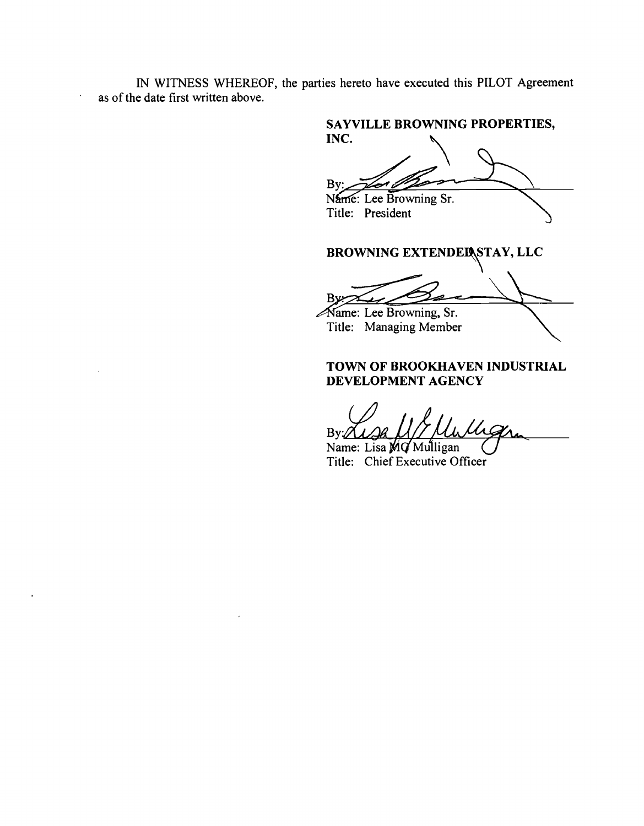IN WITNESS WHEREOF, the parties hereto have executed this PILOT Agreement as of the date first written above.

 $\ddot{\phantom{a}}$ 

SAYVILLE BROWNING PROPERTIES, INC. Bv: Name: Lee Browning Sr. Title: President

BROWNING EXTENDED STAY, LLC

By:23 ame: Lee Browning, Sr.

Title: Managing Member

### TOWN OF BROOKHAVEN INDUSTRIAL DEVELOPMENT AGENCY

 $Bv$ 

Name: Lisa MG Mulligan Title: Chief Executive Officer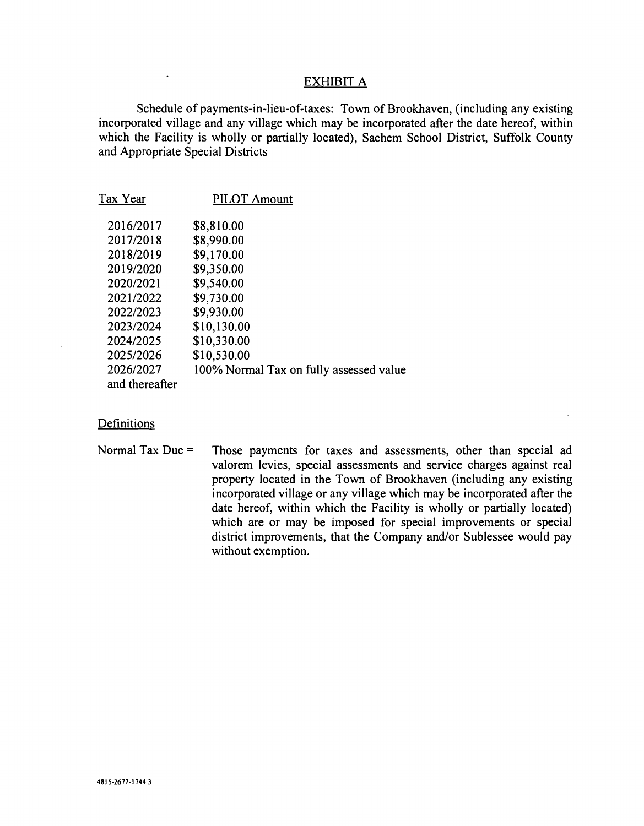### EXHIBIT A

Schedule of payments-in-lieu-of-taxes: Town of Brookhaven, (including any existing incorporated village and any village which may be incorporated after the date hereof, within which the Facility is wholly or partially located), Sachem School District, Suffolk County and Appropriate Special Districts

| Tax Year       | <b>PILOT Amount</b>                     |
|----------------|-----------------------------------------|
| 2016/2017      | \$8,810.00                              |
| 2017/2018      | \$8,990.00                              |
| 2018/2019      | \$9,170.00                              |
| 2019/2020      | \$9,350.00                              |
| 2020/2021      | \$9,540.00                              |
| 2021/2022      | \$9,730.00                              |
| 2022/2023      | \$9,930.00                              |
| 2023/2024      | \$10,130.00                             |
| 2024/2025      | \$10,330.00                             |
| 2025/2026      | \$10,530.00                             |
| 2026/2027      | 100% Normal Tax on fully assessed value |
| and thereafter |                                         |

### **Definitions**

 $\ddot{\phantom{a}}$ 

Normal Tax Due = Those payments for taxes and assessments, other than special ad valorem levies, special assessments and service charges against real property located in the Town of Brookhaven (including any existing incorporated village or any village which may be incorporated after the date hereof, within which the Facility is wholly or partially located) which are or may be imposed for special improvements or special district improvements, that the Company and/or Sublessee would pay without exemption.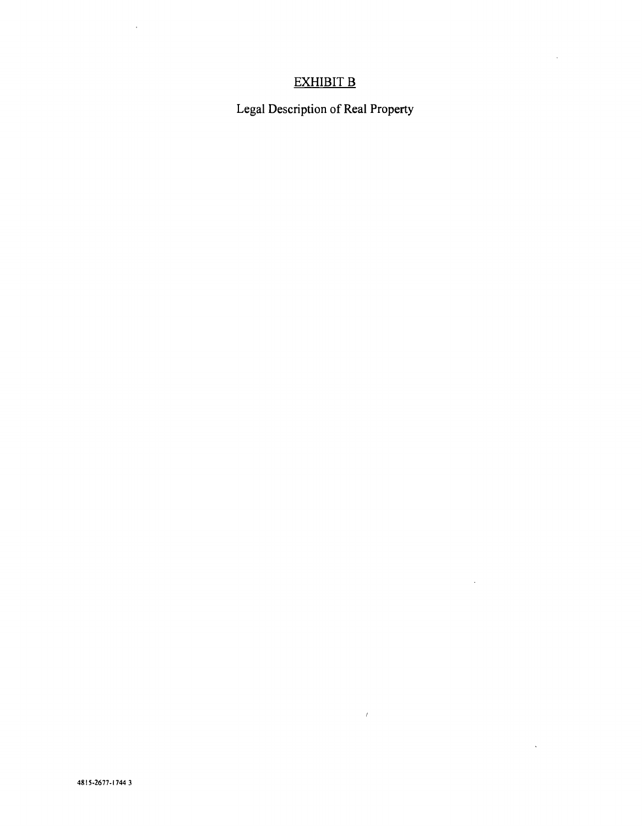## EXHIBIT B

 $\sim$ 

 $\sim 10^{-11}$ 

 $\mathcal{L}^{\text{max}}_{\text{max}}$  and  $\mathcal{L}^{\text{max}}_{\text{max}}$ 

 $\label{eq:2.1} \mathcal{F}(\mathcal{F}) = \mathcal{F}(\mathcal{F}) \otimes \mathcal{F}(\mathcal{F})$ 

Legal Description of Real Property

 $\mathcal{A}^{\mathcal{A}}$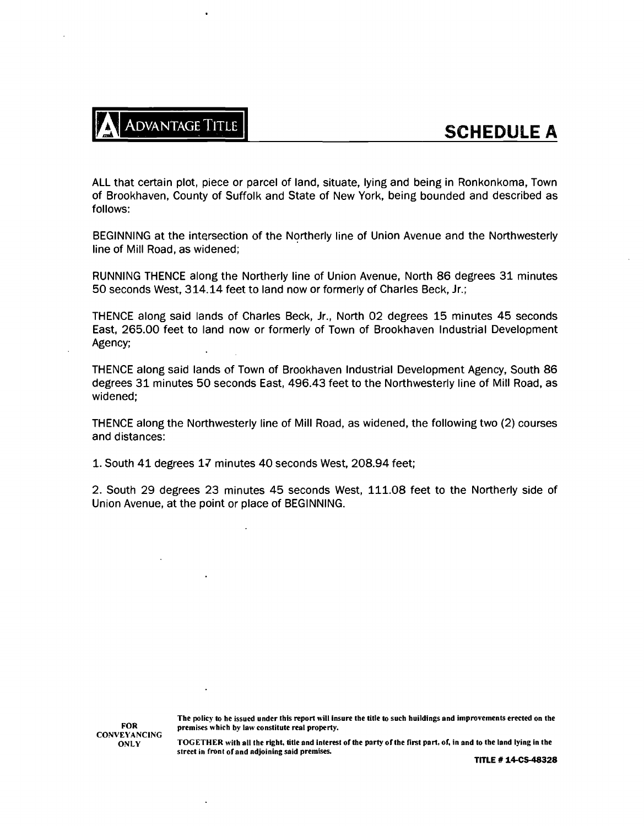

ALL that certain plot, piece or parcel of land, situate, lying and being in Ronkonkoma, Town of Brookhaven, County of Suffolk and State of New York, being bounded and described as follows:

BEGINNING at the intersection of the Northerly line of Union Avenue and the Northwesterly line of Mill Road, as widened;

RUNNING THENCE along the Northerly line of Union Avenue, North 86 degrees 31 minutes 50 seconds West, 314.14 feet to land now or formerly of Charles Beck, Jr.;

THENCE along said lands of Charles Beck, Jr., North 02 degrees 15 minutes 45 seconds East, 265.00 feet to land now or formerly of Town of Brookhaven Industrial Development Agency;

THENCE along said lands of Town of Brookhaven Industrial Development Agency, South 86 degrees 31 minutes 50 seconds East, 496.43 feet to the Northwesterly line of Mill Road, as widened;

THENCE along the Northwesterly line of Mill Road, as widened, the following two (2) courses and distances:

1. South 41 degrees 17 minutes 40 seconds West, 208.94 feet;

2. South 29 degrees 23 minutes 45 seconds West, 111.08 feet to the Northerly side of Union Avenue, at the point or place of BEGINNING.

> The policy to be issued under this report will insure the title to such buildings and improvements erected on the premises which by law constitute real property.

FOR CONVEYANCING **ONLY** 

TOGETHER with all the right, title and interest of the party of the first part, of, in and to the land lying in the street in front of and adjoining said premises.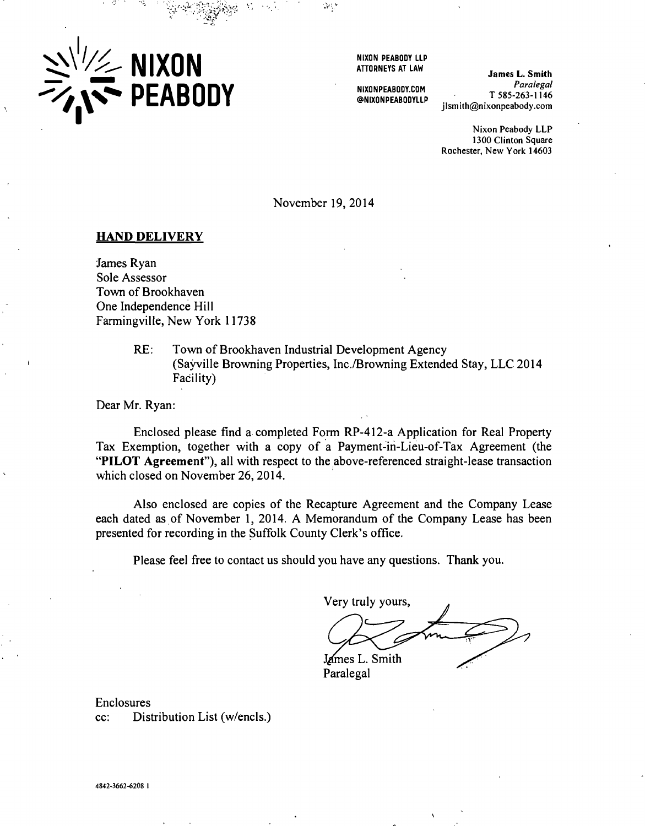

NIXON PEABODY LLP ATTORNEYS AT LAW

NIXONPEABODY.COM @NIXONPEABODYLLP

James L. Smith Paralegal  $T$  585-263-1146 ilsmith@nixonpeabody.com

Nixon Peabody LLP 1300 Clinton Square Rochester, New York 14603

November 19, 2014

### HAND DELIVERY

James Ryan Sole Assessor Town of Brookhaven One Independence Hill Farmingville, New York 11738

> RE: Town of Brookhaven Industrial Development Agency (Sayville Browning Properties, Inc. /Browning Extended Stay, LLC 2014 Facility)

Dear Mr. Ryan:

Enclosed please find a completed Form RP -412 -a Application for Real Property Tax Exemption, together with a copy of a Payment -in- Lieu -of -Tax Agreement (the "PILOT Agreement"), all with respect to the above-referenced straight-lease transaction which closed on November 26, 2014.

Also enclosed are copies of the Recapture Agreement and the Company Lease each dated as of November 1, 2014. A Memorandum of the Company Lease has been presented for recording in the Suffolk County Clerk's office.

Please feel free to contact us should you have any questions. Thank you.

Very truly yours, James L. Smith

Paralegal

Enclosures cc: Distribution List (w/encls.)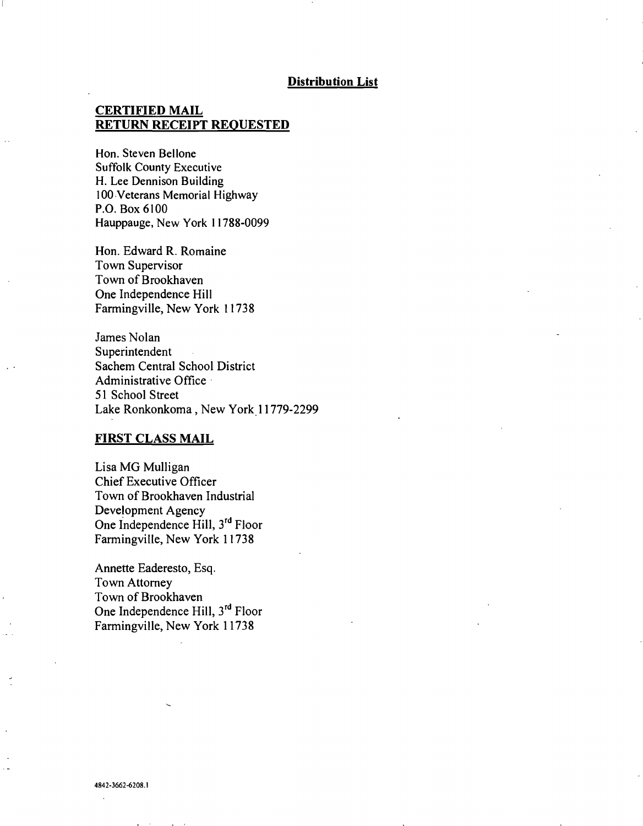#### Distribution List

### CERTIFIED MAIL RETURN RECEIPT REQUESTED

Hon. Steven Bellone Suffolk County Executive H. Lee Dennison Building 100 Veterans Memorial Highway P.O. Box 6100 Hauppauge, New York 11788-0099

Hon. Edward R. Romaine Town Supervisor Town of Brookhaven One Independence Hill Farmingville, New York 11738

James Nolan Superintendent Sachem Central School District Administrative Office 51 School Street Lake Ronkonkoma, New York 11779-2299

### FIRST CLASS MAIL

Lisa MG Mulligan Chief Executive Officer Town of Brookhaven Industrial Development Agency One Independence Hill, 3<sup>rd</sup> Floor Farmingville, New York 11738

Annette Eaderesto, Esq. Town Attorney Town of Brookhaven One Independence Hill, 3rd Floor Farmingville, New York 11738

4842-3662-6208. I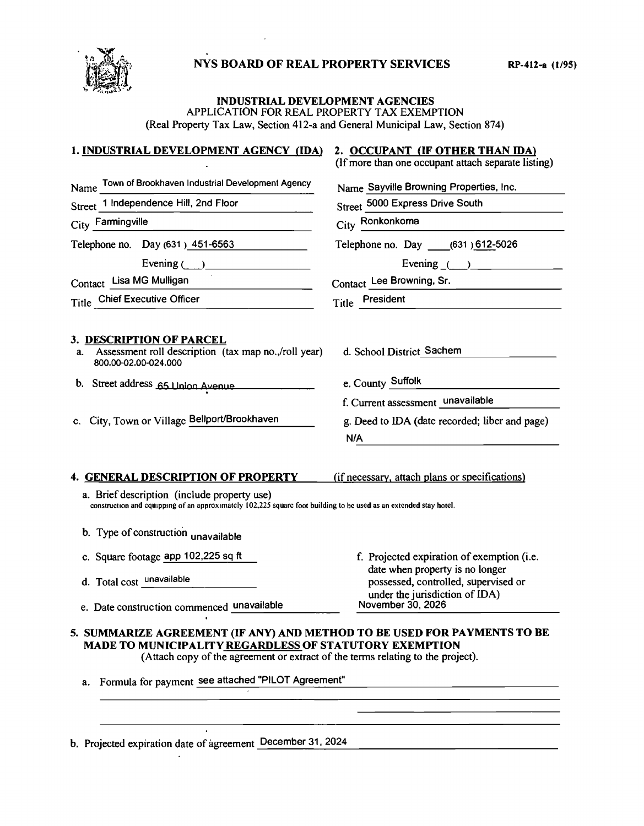## NYS BOARD OF REAL PROPERTY SERVICES RP-412-a (1/95)



#### INDUSTRIAL DEVELOPMENT AGENCIES APPLICATION FOR REAL PROPERTY TAX EXEMPTION (Real Property Tax Law, Section 412 -a and General Municipal Law, Section 874)

# 1. INDUSTRIAL DEVELOPMENT AGENCY (IDA) 2. OCCUPANT (IF OTHER THAN IDA)

| (If more than one occupant attach separate listing) |  |  |
|-----------------------------------------------------|--|--|
|-----------------------------------------------------|--|--|

| Town of Brookhaven Industrial Development Agency<br>Name                                                                                                                                                                                                                       | Name Sayville Browning Properties, Inc.                                                                   |  |
|--------------------------------------------------------------------------------------------------------------------------------------------------------------------------------------------------------------------------------------------------------------------------------|-----------------------------------------------------------------------------------------------------------|--|
| Street 1 Independence Hill, 2nd Floor                                                                                                                                                                                                                                          | Street 5000 Express Drive South                                                                           |  |
| City Farmingville<br>the control of the control of the control of                                                                                                                                                                                                              | City Ronkonkoma                                                                                           |  |
| Telephone no. Day (631) 451-6563                                                                                                                                                                                                                                               | Telephone no. Day ______ (631) 612-5026                                                                   |  |
| Evening $\qquad \qquad$                                                                                                                                                                                                                                                        | Evening $\qquad)$                                                                                         |  |
| Contact Lisa MG Mulligan                                                                                                                                                                                                                                                       | Contact Lee Browning, Sr.                                                                                 |  |
| Title Chief Executive Officer                                                                                                                                                                                                                                                  | Title President                                                                                           |  |
| 3. DESCRIPTION OF PARCEL<br>Assessment roll description (tax map no., /roll year)<br>a.<br>800.00-02.00-024.000                                                                                                                                                                | d. School District Sachem                                                                                 |  |
| b. Street address 65 Union Avenue                                                                                                                                                                                                                                              | e. County Suffolk                                                                                         |  |
|                                                                                                                                                                                                                                                                                | f. Current assessment unavailable                                                                         |  |
| c. City, Town or Village Bellport/Brookhaven                                                                                                                                                                                                                                   | g. Deed to IDA (date recorded; liber and page)                                                            |  |
|                                                                                                                                                                                                                                                                                | N/A                                                                                                       |  |
| <b>4. GENERAL DESCRIPTION OF PROPERTY</b><br>a. Brief description (include property use)<br>construction and equipping of an approximately 102,225 square foot building to be used as an extended stay hotel.<br>b. Type of construction unavailable                           | (if necessary, attach plans or specifications)                                                            |  |
| c. Square footage app 102,225 sq ft                                                                                                                                                                                                                                            | f. Projected expiration of exemption (i.e.                                                                |  |
| d. Total cost unavailable                                                                                                                                                                                                                                                      | date when property is no longer<br>possessed, controlled, supervised or<br>under the jurisdiction of IDA) |  |
| e. Date construction commenced unavailable                                                                                                                                                                                                                                     | November 30, 2026                                                                                         |  |
| 5. SUMMARIZE AGREEMENT (IF ANY) AND METHOD TO BE USED FOR PAYMENTS TO BE<br>MADE TO MUNICIPALITY REGARDLESS OF STATUTORY EXEMPTION<br>(Attach copy of the agreement or extract of the terms relating to the project).<br>a. Formula for payment see attached "PILOT Agreement" |                                                                                                           |  |

 $\Box$ b. Projected expiration date of agreement December 31, 2024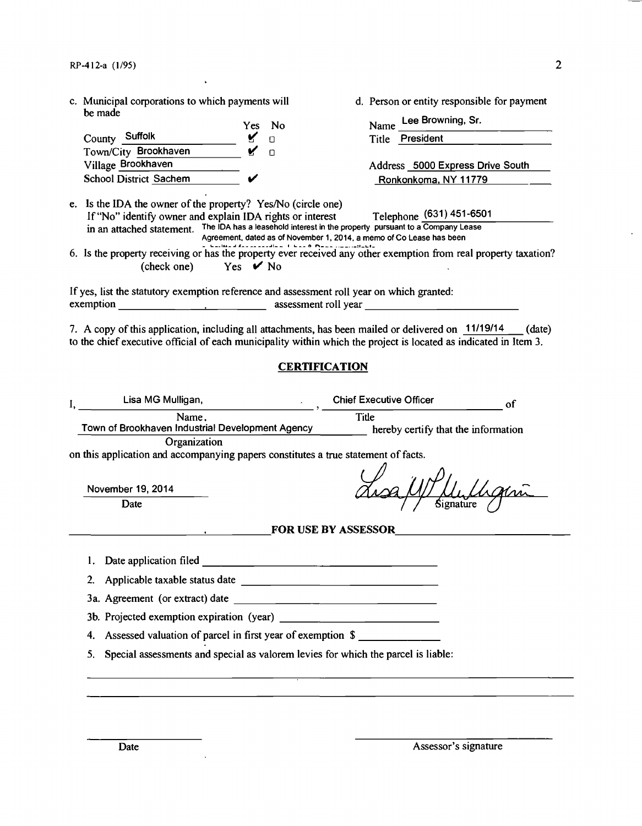c. Municipal corporations to which payments will d. Person or entity responsible for payment be made Yes No Name Lee Browning, Sr. County Suffolk Manuel Manuel Manuel Manuel Title President Town/City Brookhaven **V** O<br>Village Brookhaven Address 5000 Express Drive South School District Sachem  $\vee$  Ronkonkoma, NY 11779 e. Is the IDA the owner of the property? Yes/No (circle one) If "No" identify owner and explain IDA rights or interest Telephone (631) 451-6501 in an attached statement. The IDA has a leasehold interest in the property pursuant to a Company Lease Agreement, dated as of November 1, 2014, a memo of Co Lease has been 6. Is the property receiving or has the property ever received any other exemption from real property taxation? (check one) Yes  $\vee$  No If yes, list the statutory exemption reference and assessment roll year on which granted: exemption . assessment roll year 7. A copy of this application, including all attachments, has been mailed or delivered on 11/19/14 (date) to the chief executive official of each municipality within which the project is located as indicated in Item 3. **CERTIFICATION** Lisa MG Mulligan, Chief Executive Officer I, of **Title** Name. Town of Brookhaven Industrial Development Agency hereby certify that the information **Organization** on this application and accompanying papers constitutes a true statement of facts. November 19, 2014 Date FOR USE BY ASSESSOR 1. Date application filed 2. Applicable taxable status date 3a. Agreement (or extract) date 3b. Projected exemption expiration (year) 4. Assessed valuation of parcel in first year of exemption \$ 5. Special assessments and special as valorem levies for which the parcel is liable: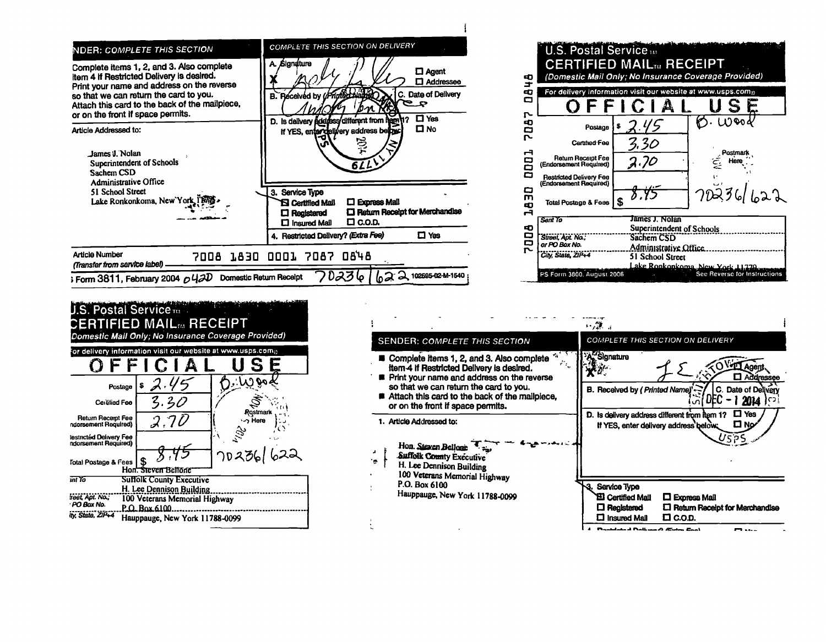